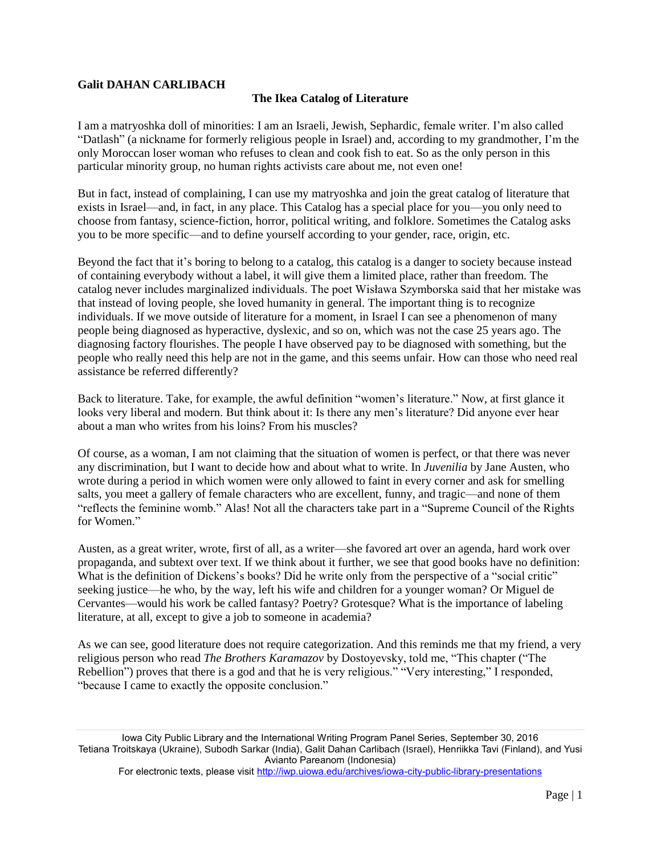## **Galit DAHAN CARLIBACH**

## **The Ikea Catalog of Literature**

I am a matryoshka doll of minorities: I am an Israeli, Jewish, Sephardic, female writer. I'm also called "Datlash" (a nickname for formerly religious people in Israel) and, according to my grandmother, I'm the only Moroccan loser woman who refuses to clean and cook fish to eat. So as the only person in this particular minority group, no human rights activists care about me, not even one!

But in fact, instead of complaining, I can use my matryoshka and join the great catalog of literature that exists in Israel—and, in fact, in any place. This Catalog has a special place for you—you only need to choose from fantasy, science-fiction, horror, political writing, and folklore. Sometimes the Catalog asks you to be more specific—and to define yourself according to your gender, race, origin, etc.

Beyond the fact that it's boring to belong to a catalog, this catalog is a danger to society because instead of containing everybody without a label, it will give them a limited place, rather than freedom. The catalog never includes marginalized individuals. The poet Wisława Szymborska said that her mistake was that instead of loving people, she loved humanity in general. The important thing is to recognize individuals. If we move outside of literature for a moment, in Israel I can see a phenomenon of many people being diagnosed as hyperactive, dyslexic, and so on, which was not the case 25 years ago. The diagnosing factory flourishes. The people I have observed pay to be diagnosed with something, but the people who really need this help are not in the game, and this seems unfair. How can those who need real assistance be referred differently?

Back to literature. Take, for example, the awful definition "women's literature." Now, at first glance it looks very liberal and modern. But think about it: Is there any men's literature? Did anyone ever hear about a man who writes from his loins? From his muscles?

Of course, as a woman, I am not claiming that the situation of women is perfect, or that there was never any discrimination, but I want to decide how and about what to write. In *Juvenilia* by Jane Austen, who wrote during a period in which women were only allowed to faint in every corner and ask for smelling salts, you meet a gallery of female characters who are excellent, funny, and tragic—and none of them "reflects the feminine womb." Alas! Not all the characters take part in a "Supreme Council of the Rights for Women."

Austen, as a great writer, wrote, first of all, as a writer—she favored art over an agenda, hard work over propaganda, and subtext over text. If we think about it further, we see that good books have no definition: What is the definition of Dickens's books? Did he write only from the perspective of a "social critic" seeking justice—he who, by the way, left his wife and children for a younger woman? Or Miguel de Cervantes—would his work be called fantasy? Poetry? Grotesque? What is the importance of labeling literature, at all, except to give a job to someone in academia?

As we can see, good literature does not require categorization. And this reminds me that my friend, a very religious person who read *The Brothers Karamazov* by Dostoyevsky, told me, "This chapter ("The Rebellion") proves that there is a god and that he is very religious." "Very interesting," I responded, "because I came to exactly the opposite conclusion."

Iowa City Public Library and the International Writing Program Panel Series, September 30, 2016 Tetiana Troitskaya (Ukraine), Subodh Sarkar (India), Galit Dahan Carlibach (Israel), Henriikka Tavi (Finland), and Yusi Avianto Pareanom (Indonesia)

For electronic texts, please visit <http://iwp.uiowa.edu/archives/iowa-city-public-library-presentations>